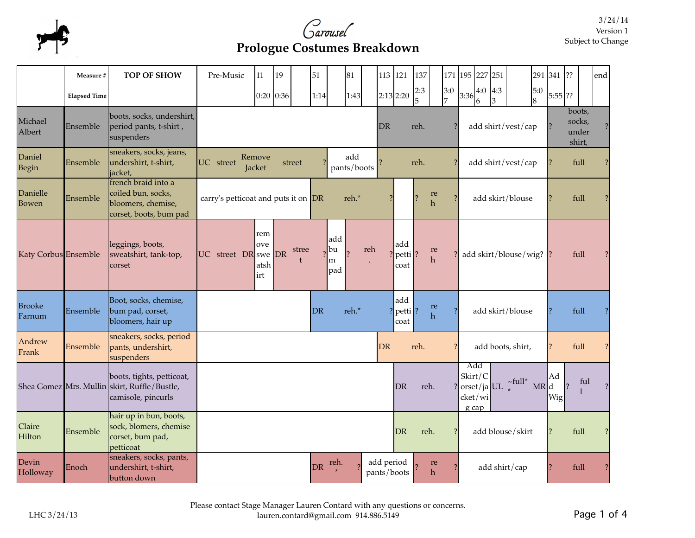



## **Prologue Costumes Breakdown**

|                         | Measure #           | <b>TOP OF SHOW</b>                                                                              | Pre-Music                           | 11                        | 19          |        | 51   |                       | 81                 |           | 113 121                    | 137      |                    | 171      | 195 227                 |         | 251      |                                                     |          | 291 341 ?? |                |                                     | end                      |
|-------------------------|---------------------|-------------------------------------------------------------------------------------------------|-------------------------------------|---------------------------|-------------|--------|------|-----------------------|--------------------|-----------|----------------------------|----------|--------------------|----------|-------------------------|---------|----------|-----------------------------------------------------|----------|------------|----------------|-------------------------------------|--------------------------|
|                         | <b>Elapsed Time</b> |                                                                                                 |                                     |                           | $0:20$ 0:36 |        | 1:14 |                       | 1:43               |           | 2:13 2:20                  | 2:3<br>5 |                    | 3:0<br>7 | $ 3:36 _6^2$            | 4:0     | 4:3<br>3 |                                                     | 5:0<br>8 | $5:55$ ??  |                |                                     |                          |
| Michael<br>Albert       | Ensemble            | boots, socks, undershirt,<br>period pants, t-shirt,<br>suspenders                               |                                     |                           |             |        |      |                       |                    | DR        |                            | reh.     |                    |          |                         |         |          | add shirt/vest/cap                                  |          |            |                | boots,<br>socks,<br>under<br>shirt, |                          |
| Daniel<br>Begin         | Ensemble            | sneakers, socks, jeans,<br>undershirt, t-shirt,<br>jacket,                                      | UC street                           | Remove<br>Jacket          |             | street |      |                       | add<br>pants/boots |           |                            | reh.     |                    |          |                         |         |          | add shirt/vest/cap                                  |          |            |                | full                                |                          |
| Danielle<br>Bowen       | Ensemble            | french braid into a<br>coiled bun, socks,<br>bloomers, chemise,<br>corset, boots, bum pad       | carry's petticoat and puts it on DR |                           |             |        |      |                       | reh.*              |           |                            |          | re<br>h            |          |                         |         |          | add skirt/blouse                                    |          |            |                | full                                |                          |
| Katy Corbus Ensemble    |                     | leggings, boots,<br>sweatshirt, tank-top,<br>corset                                             | UC street DR swe DR                 | rem<br>ove<br>atsh<br>irt |             | stree  |      | add<br>bu<br>m<br>pad | reh                |           | add<br> petti ?<br>coat    |          | re<br>$\mathbf{h}$ |          |                         |         |          | add skirt/blouse/wig? $\left  \right\rangle$        |          |            |                | full                                |                          |
| <b>Brooke</b><br>Farnum | Ensemble            | Boot, socks, chemise,<br>bum pad, corset,<br>bloomers, hair up                                  |                                     |                           |             |        | DR   |                       | reh.*              |           | add<br>$ petti $ ?<br>coat |          | re<br>$\mathbf{h}$ |          |                         |         |          | add skirt/blouse                                    |          |            |                | full                                | $\overline{\mathcal{C}}$ |
| Andrew<br>Frank         | Ensemble            | sneakers, socks, period<br>pants, undershirt,<br>suspenders                                     |                                     |                           |             |        |      |                       |                    | <b>DR</b> |                            | reh.     |                    |          |                         |         |          | add boots, shirt,                                   |          |            |                | full                                | $\overline{\mathcal{L}}$ |
|                         |                     | boots, tights, petticoat,<br>Shea Gomez Mrs. Mullin skirt, Ruffle/Bustle,<br>camisole, pincurls |                                     |                           |             |        |      |                       |                    |           | DR                         |          | reh.               |          | Add<br>Skirt/C<br>g cap | cket/wi |          | $\frac{1}{2}$ orset/ja UL $\int_{0}^{\infty}$ full* | MR d     | Ad<br>Wig  | $\overline{?}$ | ful                                 |                          |
| Claire<br>Hilton        | Ensemble            | hair up in bun, boots,<br>sock, blomers, chemise<br>corset, bum pad,<br>petticoat               |                                     |                           |             |        |      |                       |                    |           | DR                         |          | reh.               |          |                         |         |          | add blouse/skirt                                    |          |            |                | full                                | ?                        |
| Devin<br>Holloway       | Enoch               | sneakers, socks, pants,<br>undershirt, t-shirt,<br>button down                                  |                                     |                           |             |        | DR   | reh.                  |                    |           | add period<br>pants/boots  |          | re<br>h            |          |                         |         |          | add shirt/cap                                       |          |            | full           |                                     |                          |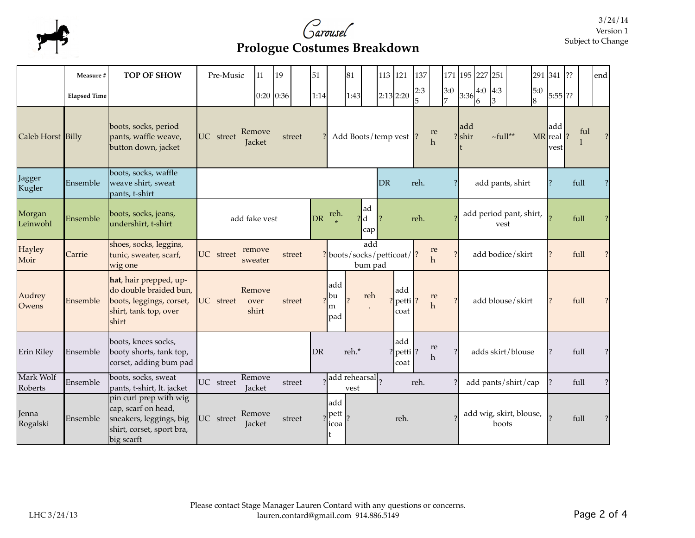

## **Prologue Costumes Breakdown**

|                      | Measure #           | <b>TOP OF SHOW</b>                                                                                                  | Pre-Music                                      | 11                      | 19            |  | 51   |                                            | 81                                 |                       | 113 121                      | 137  |                    |                       |                                 | 171 195 227 251                   |               |  |                       | 291 341 ??                 |      |     | end           |
|----------------------|---------------------|---------------------------------------------------------------------------------------------------------------------|------------------------------------------------|-------------------------|---------------|--|------|--------------------------------------------|------------------------------------|-----------------------|------------------------------|------|--------------------|-----------------------|---------------------------------|-----------------------------------|---------------|--|-----------------------|----------------------------|------|-----|---------------|
|                      | <b>Elapsed Time</b> |                                                                                                                     |                                                |                         | $0:20$ $0:36$ |  | 1:14 |                                            | 1:43                               |                       | 2:13 2:20                    | 2:3  |                    | 3:0<br>$\overline{7}$ | 3:36                            | $\overline{4:3}$<br>4:0<br>3<br>6 |               |  | 5:0<br>$\overline{8}$ | $5:55$ ??                  |      |     |               |
| Caleb Horst Billy    |                     | boots, socks, period<br>pants, waffle weave,<br>button down, jacket                                                 | Remove<br>UC street<br>street<br><b>Jacket</b> |                         |               |  |      |                                            |                                    | Add Boots/temp vest ? |                              |      | re<br>$\mathbf{h}$ |                       | add<br>$?$ shir                 |                                   | $\sim$ full** |  |                       | ladd<br>MR real  ?<br>vest |      | ful |               |
| Jagger<br>Kugler     | Ensemble            | boots, socks, waffle<br>weave shirt, sweat<br>pants, t-shirt                                                        |                                                |                         |               |  |      | DR                                         | reh.                               |                       |                              |      | add pants, shirt   |                       |                                 |                                   |               |  | full                  |                            |      |     |               |
| Morgan<br>Leinwohl   | Ensemble            | boots, socks, jeans,<br>undershirt, t-shirt                                                                         | DR<br>add fake vest                            |                         |               |  |      | reh.                                       | ad<br>$\mathbf d$<br>cap           |                       | reh.                         |      |                    |                       | add period pant, shirt,<br>vest |                                   |               |  |                       |                            | full |     |               |
| Hayley<br>Moir       | Carrie              | shoes, socks, leggins,<br>tunic, sweater, scarf,<br>wig one                                                         | remove<br>UC street<br>street<br>sweater       |                         |               |  |      | add<br>? boots/socks/petticoat/<br>bum pad |                                    |                       |                              |      | re<br>$\mathbf{h}$ |                       |                                 | add bodice/skirt                  |               |  |                       |                            | full |     |               |
| Audrey<br>Owens      | Ensemble            | hat, hair prepped, up-<br>do double braided bun,<br>boots, leggings, corset,<br>shirt, tank top, over<br>shirt      | UC street                                      | Remove<br>over<br>shirt | street        |  |      | add<br>lbu<br>m<br>pad                     | reh                                |                       | add<br>? $ petti $ ?<br>coat |      | re<br>h            |                       |                                 | add blouse/skirt                  |               |  |                       |                            | full |     |               |
| Erin Riley           | Ensemble            | boots, knees socks,<br>booty shorts, tank top,<br>corset, adding bum pad                                            |                                                |                         |               |  | DR   |                                            | reh.*                              |                       | add<br>? $ petti $ ?<br>coat |      | $\rm re$<br>h      | 7                     |                                 | adds skirt/blouse                 |               |  |                       |                            | full |     |               |
| Mark Wolf<br>Roberts | Ensemble            | boots, socks, sweat<br>pants, t-shirt, lt. jacket                                                                   | UC street                                      | Remove<br>Jacket        | street        |  |      |                                            | add rehearsal <sub>2</sub><br>vest |                       |                              | reh. |                    |                       | add pants/shirt/cap             |                                   |               |  |                       | $\mathcal{P}$              | full |     | $\mathcal{P}$ |
| Jenna<br>Rogalski    | Ensemble            | pin curl prep with wig<br>cap, scarf on head,<br>sneakers, leggings, big<br>shirt, corset, sport bra,<br>big scarft | UC street                                      | Remove<br>Jacket        | street        |  |      | add<br>pett<br>icoa<br>t                   |                                    | reh.                  |                              |      |                    |                       | add wig, skirt, blouse,         | boots                             |               |  |                       | full                       |      |     |               |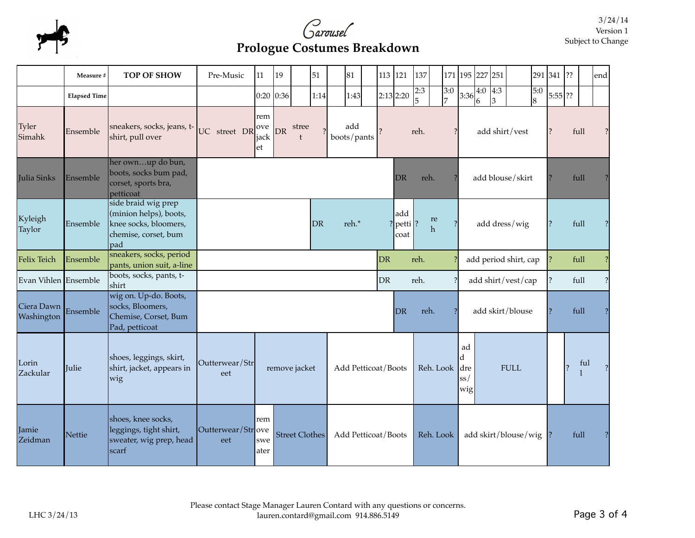



## **Prologue Costumes Breakdown**

|                          | Measure #           | <b>TOP OF SHOW</b>                                                                                     | Pre-Music                | 11                 | 19            |                       | 51   |                              | 81                               |                          | 113 121                  | 137            |                       |           |                                               | 171 195 227 251       |                       |                  |          | 291 341 ??     |      |                          | end |
|--------------------------|---------------------|--------------------------------------------------------------------------------------------------------|--------------------------|--------------------|---------------|-----------------------|------|------------------------------|----------------------------------|--------------------------|--------------------------|----------------|-----------------------|-----------|-----------------------------------------------|-----------------------|-----------------------|------------------|----------|----------------|------|--------------------------|-----|
|                          | <b>Elapsed Time</b> |                                                                                                        |                          |                    | $0:20$ $0:36$ |                       | 1:14 |                              | 1:43                             |                          | 2:13 2:20                | 2:3            |                       | 3:0<br>17 | 3:36                                          | $\overline{4:0}$<br>6 | $\overline{4:3}$<br>3 |                  | 5:0<br>8 | $5:55$ ??      |      |                          |     |
| Tyler<br>Simahk          | Ensemble            | sneakers, socks, jeans, t-<br>shirt, pull over                                                         | UC street DR             |                    |               | add<br>boots/pants    |      |                              | reh.<br>$\overline{\phantom{a}}$ |                          |                          | add shirt/vest |                       |           |                                               |                       |                       |                  | full     |                |      |                          |     |
| Julia Sinks              | Ensemble            | her ownup do bun,<br>boots, socks bum pad,<br>corset, sports bra,<br>petticoat                         |                          |                    |               | reh.<br>DR            |      |                              |                                  |                          | add blouse/skirt         |                | full                  |           |                                               |                       |                       |                  |          |                |      |                          |     |
| Kyleigh<br>Taylor        | Ensemble            | side braid wig prep<br>(minion helps), boots,<br>knee socks, bloomers,<br>chemise, corset, bum<br>lpad |                          | DR                 |               | reh.*                 |      | add<br>? $ petti $ ?<br>coat |                                  | $\rm re$<br>$\mathbf{h}$ | $\overline{\mathcal{L}}$ | add dress/wig  |                       |           |                                               |                       |                       | full             |          |                |      |                          |     |
| Felix Teich              | Ensemble            | sneakers, socks, period<br>pants, union suit, a-line                                                   |                          |                    | DR            |                       | reh. |                              |                                  |                          |                          |                | add period shirt, cap |           |                                               | full                  |                       |                  |          |                |      |                          |     |
| Evan Vihlen Ensemble     |                     | boots, socks, pants, t-<br> shirt                                                                      |                          |                    | DR            |                       | reh. |                              |                                  |                          |                          |                | add shirt/vest/cap    |           | $\overline{\mathcal{C}}$                      | full                  |                       | $\overline{?}$   |          |                |      |                          |     |
| Ciera Dawn<br>Washington | Ensemble            | wig on. Up-do. Boots,<br>socks, Bloomers,<br>Chemise, Corset, Bum<br>Pad, petticoat                    |                          |                    |               |                       |      |                              |                                  |                          | DR.                      |                | reh.                  |           |                                               |                       |                       | add skirt/blouse |          |                | full |                          | ?   |
| Lorin<br>Zackular        | Julie               | shoes, leggings, skirt,<br>shirt, jacket, appears in<br>wig                                            | Outterwear/Str<br>eet    |                    |               | remove jacket         |      |                              | Add Petticoat/Boots              |                          |                          | Reh. Look      |                       |           | ad<br>d<br><b>FULL</b><br>dre]<br> ss <br>wig |                       |                       |                  |          | $\overline{2}$ | ful  |                          |     |
| Jamie<br>Zeidman         | <b>Nettie</b>       | shoes, knee socks,<br>leggings, tight shirt,<br>sweater, wig prep, head<br>scarf                       | Outterwear/Strove<br>eet | rem<br>swe<br>ater |               | <b>Street Clothes</b> |      |                              | Add Petticoat/Boots              |                          |                          | Reh. Look      |                       |           | add skirt/blouse/wig                          |                       |                       |                  |          | full           |      | $\overline{\mathcal{E}}$ |     |